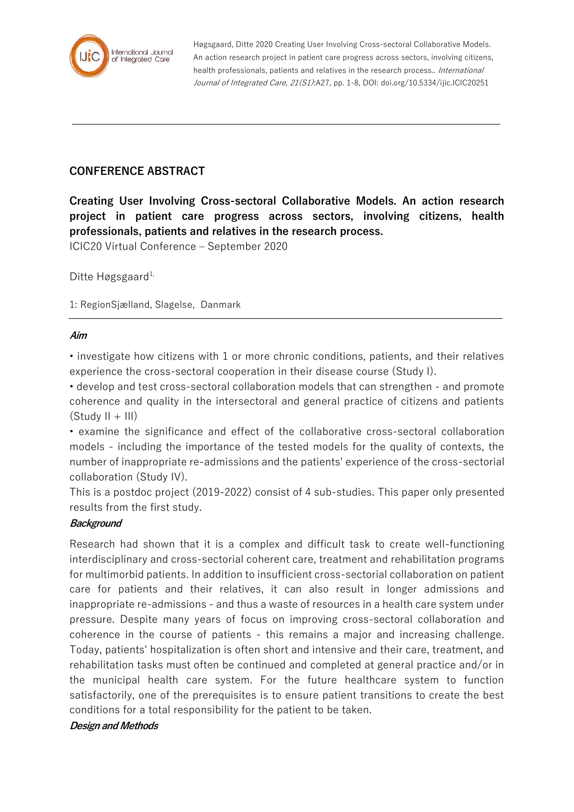

Høgsgaard, Ditte 2020 Creating User Involving Cross-sectoral Collaborative Models. An action research project in patient care progress across sectors, involving citizens, health professionals, patients and relatives in the research process.. International Journal of Integrated Care, 21(S1):A27, pp. 1-8, DOI: doi.org/10.5334/ijic.ICIC20251

## **CONFERENCE ABSTRACT**

**Creating User Involving Cross-sectoral Collaborative Models. An action research project in patient care progress across sectors, involving citizens, health professionals, patients and relatives in the research process.**

ICIC20 Virtual Conference – September 2020

Ditte Høgsgaard<sup>1,</sup>

1: RegionSjælland, Slagelse, Danmark

#### **Aim**

• investigate how citizens with 1 or more chronic conditions, patients, and their relatives experience the cross-sectoral cooperation in their disease course (Study I).

• develop and test cross-sectoral collaboration models that can strengthen - and promote coherence and quality in the intersectoral and general practice of citizens and patients  $(Study II + III)$ 

• examine the significance and effect of the collaborative cross-sectoral collaboration models - including the importance of the tested models for the quality of contexts, the number of inappropriate re-admissions and the patients' experience of the cross-sectorial collaboration (Study IV).

This is a postdoc project (2019-2022) consist of 4 sub-studies. This paper only presented results from the first study.

#### **Background**

Research had shown that it is a complex and difficult task to create well-functioning interdisciplinary and cross-sectorial coherent care, treatment and rehabilitation programs for multimorbid patients. In addition to insufficient cross-sectorial collaboration on patient care for patients and their relatives, it can also result in longer admissions and inappropriate re-admissions - and thus a waste of resources in a health care system under pressure. Despite many years of focus on improving cross-sectoral collaboration and coherence in the course of patients - this remains a major and increasing challenge. Today, patients' hospitalization is often short and intensive and their care, treatment, and rehabilitation tasks must often be continued and completed at general practice and/or in the municipal health care system. For the future healthcare system to function satisfactorily, one of the prerequisites is to ensure patient transitions to create the best conditions for a total responsibility for the patient to be taken.

#### **Design and Methods**